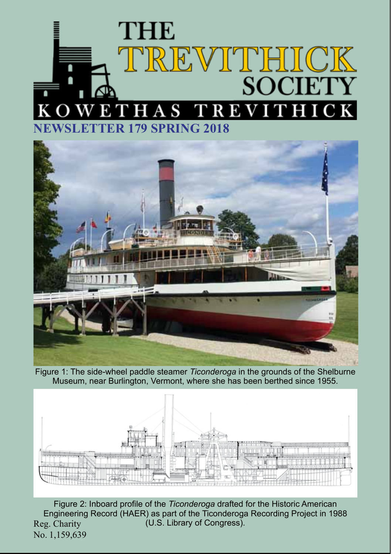# **THE** TREVITHICK SOCIETY S TREVITHICK KOWETH **NEWSLETTER 179 SPRING 2018**



Figure 1: The side-wheel paddle steamer *Ticonderoga* in the grounds of the Shelburne Museum, near Burlington, Vermont, where she has been berthed since 1955.



Reg. Charity No. 1,159,639 Figure 2: Inboard profile of the *Ticonderoga* drafted for the Historic American Engineering Record (HAER) as part of the Ticonderoga Recording Project in 1988 (U.S. Library of Congress).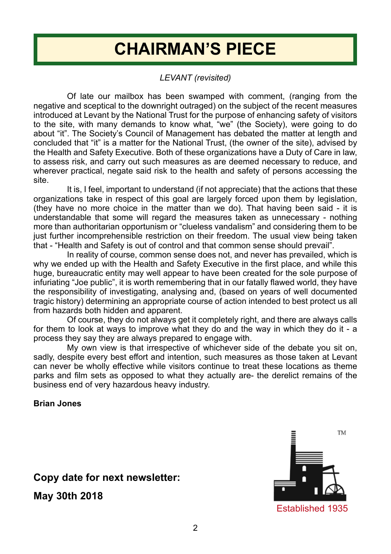# **CHAIRMAN'S PIECE**

### *LEVANT (revisited)*

Of late our mailbox has been swamped with comment, (ranging from the negative and sceptical to the downright outraged) on the subject of the recent measures introduced at Levant by the National Trust for the purpose of enhancing safety of visitors to the site, with many demands to know what, "we" (the Society), were going to do about "it". The Society's Council of Management has debated the matter at length and concluded that "it" is a matter for the National Trust, (the owner of the site), advised by the Health and Safety Executive. Both of these organizations have a Duty of Care in law, to assess risk, and carry out such measures as are deemed necessary to reduce, and wherever practical, negate said risk to the health and safety of persons accessing the site.

It is, I feel, important to understand (if not appreciate) that the actions that these organizations take in respect of this goal are largely forced upon them by legislation, (they have no more choice in the matter than we do). That having been said - it is understandable that some will regard the measures taken as unnecessary - nothing more than authoritarian opportunism or "clueless vandalism" and considering them to be just further incomprehensible restriction on their freedom. The usual view being taken that - "Health and Safety is out of control and that common sense should prevail".

In reality of course, common sense does not, and never has prevailed, which is why we ended up with the Health and Safety Executive in the first place, and while this huge, bureaucratic entity may well appear to have been created for the sole purpose of infuriating "Joe public", it is worth remembering that in our fatally flawed world, they have the responsibility of investigating, analysing and, (based on years of well documented tragic history) determining an appropriate course of action intended to best protect us all from hazards both hidden and apparent.

Of course, they do not always get it completely right, and there are always calls for them to look at ways to improve what they do and the way in which they do it - a process they say they are always prepared to engage with.

My own view is that irrespective of whichever side of the debate you sit on, sadly, despite every best effort and intention, such measures as those taken at Levant can never be wholly effective while visitors continue to treat these locations as theme parks and film sets as opposed to what they actually are- the derelict remains of the business end of very hazardous heavy industry.

#### **Brian Jones**

**Copy date for next newsletter:** 

**May 30th 2018**

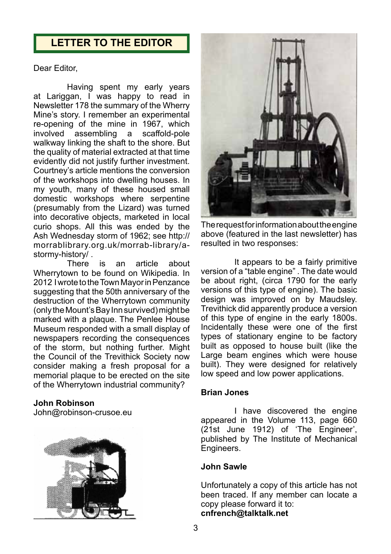# **LETTER TO THE EDITOR**

Dear Editor,

Having spent my early years at Lariggan, I was happy to read in Newsletter 178 the summary of the Wherry Mine's story. I remember an experimental re-opening of the mine in 1967, which<br>involved assembling a scaffold-pole assembling a scaffold-pole walkway linking the shaft to the shore. But the quality of material extracted at that time evidently did not justify further investment. Courtney's article mentions the conversion of the workshops into dwelling houses. In my youth, many of these housed small domestic workshops where serpentine (presumably from the Lizard) was turned into decorative objects, marketed in local curio shops. All this was ended by the Ash Wednesday storm of 1962; see http:// morrablibrary.org.uk/morrab-library/astormy-history/ .

is an article about Wherrytown to be found on Wikipedia. In 2012 I wrote to the Town Mayor in Penzance suggesting that the 50th anniversary of the destruction of the Wherrytown community (only the Mount's Bay Inn survived) might be marked with a plaque. The Penlee House Museum responded with a small display of newspapers recording the consequences of the storm, but nothing further. Might the Council of the Trevithick Society now consider making a fresh proposal for a memorial plaque to be erected on the site of the Wherrytown industrial community?

#### **John Robinson**

John@robinson-crusoe.eu





The request for information about the engine above (featured in the last newsletter) has resulted in two responses:

It appears to be a fairly primitive version of a "table engine" . The date would be about right, (circa 1790 for the early versions of this type of engine). The basic design was improved on by Maudsley. Trevithick did apparently produce a version of this type of engine in the early 1800s. Incidentally these were one of the first types of stationary engine to be factory built as opposed to house built (like the Large beam engines which were house built). They were designed for relatively low speed and low power applications.

#### **Brian Jones**

I have discovered the engine appeared in the Volume 113, page 660 (21st June 1912) of 'The Engineer', published by The Institute of Mechanical Engineers.

#### **John Sawle**

Unfortunately a copy of this article has not been traced. If any member can locate a copy please forward it to: **cnfrench@talktalk.net**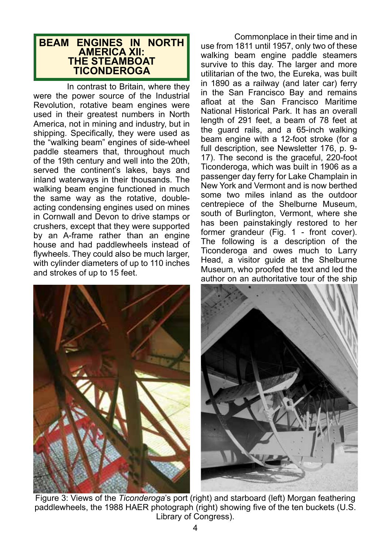#### **BEAM ENGINES IN NORTH AMERICA XII: THE STEAMBOAT TICONDEROGA**

In contrast to Britain, where they were the power source of the Industrial Revolution, rotative beam engines were used in their greatest numbers in North America, not in mining and industry, but in shipping. Specifically, they were used as the "walking beam" engines of side-wheel paddle steamers that, throughout much of the 19th century and well into the 20th, served the continent's lakes, bays and inland waterways in their thousands. The walking beam engine functioned in much the same way as the rotative, doubleacting condensing engines used on mines in Cornwall and Devon to drive stamps or crushers, except that they were supported by an A-frame rather than an engine house and had paddlewheels instead of flywheels. They could also be much larger, with cylinder diameters of up to 110 inches and strokes of up to 15 feet.

Commonplace in their time and in use from 1811 until 1957, only two of these walking beam engine paddle steamers survive to this day. The larger and more utilitarian of the two, the Eureka, was built in 1890 as a railway (and later car) ferry in the San Francisco Bay and remains afloat at the San Francisco Maritime National Historical Park. It has an overall length of 291 feet, a beam of 78 feet at the guard rails, and a 65-inch walking beam engine with a 12-foot stroke (for a full description, see Newsletter 176, p. 9- 17). The second is the graceful, 220-foot Ticonderoga, which was built in 1906 as a passenger day ferry for Lake Champlain in New York and Vermont and is now berthed some two miles inland as the outdoor centrepiece of the Shelburne Museum, south of Burlington, Vermont, where she has been painstakingly restored to her former grandeur (Fig. 1 - front cover). The following is a description of the Ticonderoga and owes much to Larry Head, a visitor guide at the Shelburne Museum, who proofed the text and led the author on an authoritative tour of the ship





Figure 3: Views of the *Ticonderoga*'s port (right) and starboard (left) Morgan feathering paddlewheels, the 1988 HAER photograph (right) showing five of the ten buckets (U.S. Library of Congress).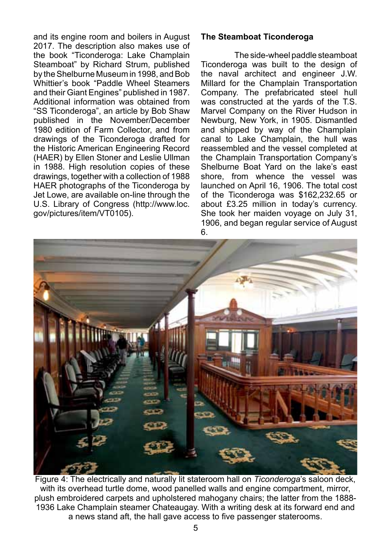and its engine room and boilers in August 2017. The description also makes use of the book "Ticonderoga: Lake Champlain Steamboat" by Richard Strum, published by the Shelburne Museum in 1998, and Bob Whittier's book "Paddle Wheel Steamers and their Giant Engines" published in 1987. Additional information was obtained from "SS Ticonderoga", an article by Bob Shaw published in the November/December 1980 edition of Farm Collector, and from drawings of the Ticonderoga drafted for the Historic American Engineering Record (HAER) by Ellen Stoner and Leslie Ullman in 1988. High resolution copies of these drawings, together with a collection of 1988 HAER photographs of the Ticonderoga by Jet Lowe, are available on-line through the U.S. Library of Congress (http://www.loc. gov/pictures/item/VT0105).

#### **The Steamboat Ticonderoga**

The side-wheel paddle steamboat Ticonderoga was built to the design of the naval architect and engineer J.W. Millard for the Champlain Transportation Company. The prefabricated steel hull was constructed at the yards of the T.S. Marvel Company on the River Hudson in Newburg, New York, in 1905. Dismantled and shipped by way of the Champlain canal to Lake Champlain, the hull was reassembled and the vessel completed at the Champlain Transportation Company's Shelburne Boat Yard on the lake's east shore, from whence the vessel was launched on April 16, 1906. The total cost of the Ticonderoga was \$162,232.65 or about £3.25 million in today's currency. She took her maiden voyage on July 31. 1906, and began regular service of August 6.



Figure 4: The electrically and naturally lit stateroom hall on *Ticonderoga*'s saloon deck, with its overhead turtle dome, wood panelled walls and engine compartment, mirror, plush embroidered carpets and upholstered mahogany chairs; the latter from the 1888- 1936 Lake Champlain steamer Chateaugay. With a writing desk at its forward end and a news stand aft, the hall gave access to five passenger staterooms.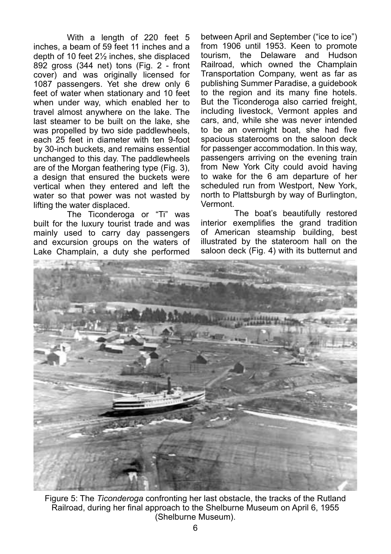With a length of 220 feet 5 inches, a beam of 59 feet 11 inches and a depth of 10 feet 2½ inches, she displaced 892 gross (344 net) tons (Fig. 2 - front cover) and was originally licensed for 1087 passengers. Yet she drew only 6 feet of water when stationary and 10 feet when under way, which enabled her to travel almost anywhere on the lake. The last steamer to be built on the lake, she was propelled by two side paddlewheels. each 25 feet in diameter with ten 9-foot by 30-inch buckets, and remains essential unchanged to this day. The paddlewheels are of the Morgan feathering type (Fig. 3), a design that ensured the buckets were vertical when they entered and left the water so that power was not wasted by lifting the water displaced.

The Ticonderoga or "Ti" was built for the luxury tourist trade and was mainly used to carry day passengers and excursion groups on the waters of Lake Champlain, a duty she performed

between April and September ("ice to ice") from 1906 until 1953. Keen to promote tourism, the Delaware and Hudson Railroad, which owned the Champlain Transportation Company, went as far as publishing Summer Paradise, a guidebook to the region and its many fine hotels. But the Ticonderoga also carried freight, including livestock, Vermont apples and cars, and, while she was never intended to be an overnight boat, she had five spacious staterooms on the saloon deck for passenger accommodation. In this way, passengers arriving on the evening train from New York City could avoid having to wake for the 6 am departure of her scheduled run from Westport, New York, north to Plattsburgh by way of Burlington, Vermont.

The boat's beautifully restored interior exemplifies the grand tradition of American steamship building, best illustrated by the stateroom hall on the saloon deck (Fig. 4) with its butternut and



Figure 5: The *Ticonderoga* confronting her last obstacle, the tracks of the Rutland Railroad, during her final approach to the Shelburne Museum on April 6, 1955 (Shelburne Museum).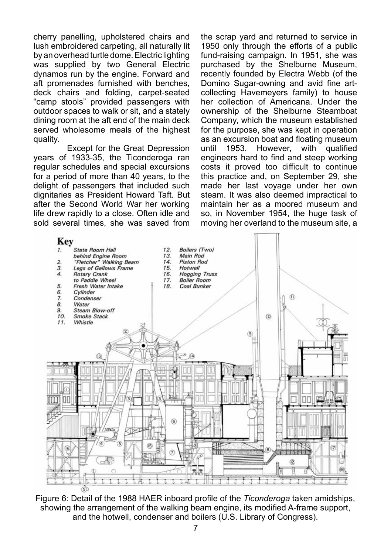cherry panelling, upholstered chairs and lush embroidered carpeting, all naturally lit by an overhead turtle dome. Electric lighting was supplied by two General Electric dynamos run by the engine. Forward and aft promenades furnished with benches, deck chairs and folding, carpet-seated "camp stools" provided passengers with outdoor spaces to walk or sit, and a stately dining room at the aft end of the main deck served wholesome meals of the highest quality.

Except for the Great Depression years of 1933-35, the Ticonderoga ran regular schedules and special excursions for a period of more than 40 years, to the delight of passengers that included such dignitaries as President Howard Taft. But after the Second World War her working life drew rapidly to a close. Often idle and sold several times, she was saved from

the scrap yard and returned to service in 1950 only through the efforts of a public fund-raising campaign. In 1951, she was purchased by the Shelburne Museum, recently founded by Electra Webb (of the Domino Sugar-owning and avid fine artcollecting Havemeyers family) to house her collection of Americana. Under the ownership of the Shelburne Steamboat Company, which the museum established for the purpose, she was kept in operation as an excursion boat and floating museum<br>until 1953. However, with qualified However. engineers hard to find and steep working costs it proved too difficult to continue this practice and, on September 29, she made her last voyage under her own steam. It was also deemed impractical to maintain her as a moored museum and so, in November 1954, the huge task of moving her overland to the museum site, a



Figure 6: Detail of the 1988 HAER inboard profile of the *Ticonderoga* taken amidships, showing the arrangement of the walking beam engine, its modified A-frame support, and the hotwell, condenser and boilers (U.S. Library of Congress).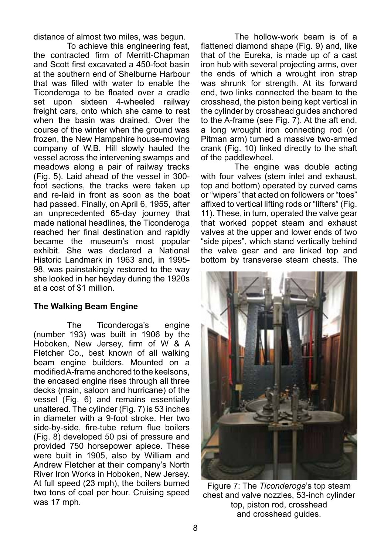distance of almost two miles, was begun.

To achieve this engineering feat, the contracted firm of Merritt-Chapman and Scott first excavated a 450-foot basin at the southern end of Shelburne Harbour that was filled with water to enable the Ticonderoga to be floated over a cradle set upon sixteen 4-wheeled railway freight cars, onto which she came to rest when the basin was drained. Over the course of the winter when the ground was frozen, the New Hampshire house-moving company of W.B. Hill slowly hauled the vessel across the intervening swamps and meadows along a pair of railway tracks (Fig. 5). Laid ahead of the vessel in 300 foot sections, the tracks were taken up and re-laid in front as soon as the boat had passed. Finally, on April 6, 1955, after an unprecedented 65-day journey that made national headlines, the Ticonderoga reached her final destination and rapidly became the museum's most popular exhibit. She was declared a National Historic Landmark in 1963 and, in 1995- 98, was painstakingly restored to the way she looked in her heyday during the 1920s at a cost of \$1 million.

#### **The Walking Beam Engine**

The Ticonderoga's engine (number 193) was built in 1906 by the Hoboken, New Jersey, firm of W & A Fletcher Co., best known of all walking beam engine builders. Mounted on a modified A-frame anchored to the keelsons, the encased engine rises through all three decks (main, saloon and hurricane) of the vessel (Fig. 6) and remains essentially unaltered. The cylinder (Fig. 7) is 53 inches in diameter with a 9-foot stroke. Her two side-by-side, fire-tube return flue boilers (Fig. 8) developed 50 psi of pressure and provided 750 horsepower apiece. These were built in 1905, also by William and Andrew Fletcher at their company's North River Iron Works in Hoboken, New Jersey. At full speed (23 mph), the boilers burned two tons of coal per hour. Cruising speed was 17 mph.

The hollow-work beam is of a flattened diamond shape (Fig. 9) and, like that of the Eureka, is made up of a cast iron hub with several projecting arms, over the ends of which a wrought iron strap was shrunk for strength. At its forward end, two links connected the beam to the crosshead, the piston being kept vertical in the cylinder by crosshead guides anchored to the A-frame (see Fig. 7). At the aft end, a long wrought iron connecting rod (or Pitman arm) turned a massive two-armed crank (Fig. 10) linked directly to the shaft of the paddlewheel.

The engine was double acting with four valves (stem inlet and exhaust, top and bottom) operated by curved cams or "wipers" that acted on followers or "toes" affixed to vertical lifting rods or "lifters" (Fig. 11). These, in turn, operated the valve gear that worked poppet steam and exhaust valves at the upper and lower ends of two "side pipes", which stand vertically behind the valve gear and are linked top and bottom by transverse steam chests. The



Figure 7: The *Ticonderoga*'s top steam chest and valve nozzles, 53-inch cylinder top, piston rod, crosshead and crosshead guides.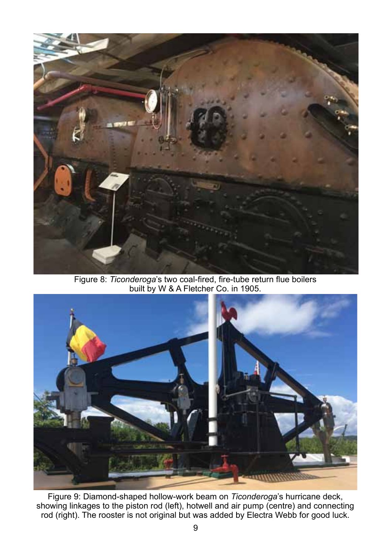

Figure 8: *Ticonderoga*'s two coal-fired, fire-tube return flue boilers built by W & A Fletcher Co. in 1905.



Figure 9: Diamond-shaped hollow-work beam on *Ticonderoga*'s hurricane deck, showing linkages to the piston rod (left), hotwell and air pump (centre) and connecting rod (right). The rooster is not original but was added by Electra Webb for good luck.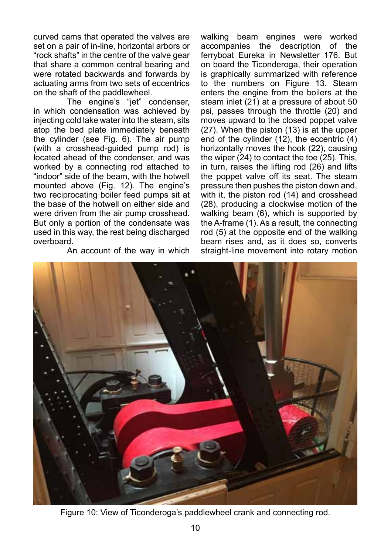curved cams that operated the valves are set on a pair of in-line, horizontal arbors or "rock shafts" in the centre of the valve gear that share a common central bearing and were rotated backwards and forwards by actuating arms from two sets of eccentrics on the shaft of the paddlewheel.

The engine's "jet" condenser, in which condensation was achieved by injecting cold lake water into the steam, sits atop the bed plate immediately beneath the cylinder (see Fig. 6). The air pump (with a crosshead-guided pump rod) is located ahead of the condenser, and was worked by a connecting rod attached to "indoor" side of the beam, with the hotwell mounted above (Fig. 12). The engine's two reciprocating boiler feed pumps sit at the base of the hotwell on either side and were driven from the air pump crosshead. But only a portion of the condensate was used in this way, the rest being discharged overboard.

An account of the way in which

walking beam engines were worked accompanies the description of the ferryboat Eureka in Newsletter 176. But on board the Ticonderoga, their operation is graphically summarized with reference to the numbers on Figure 13. Steam enters the engine from the boilers at the steam inlet (21) at a pressure of about 50 psi, passes through the throttle (20) and moves upward to the closed poppet valve (27). When the piston (13) is at the upper end of the cylinder (12), the eccentric (4) horizontally moves the hook (22), causing the wiper  $(24)$  to contact the toe  $(25)$ . This, in turn, raises the lifting rod (26) and lifts the poppet valve off its seat. The steam pressure then pushes the piston down and, with it, the piston rod (14) and crosshead (28), producing a clockwise motion of the walking beam (6), which is supported by the A-frame (1). As a result, the connecting rod (5) at the opposite end of the walking beam rises and, as it does so, converts straight-line movement into rotary motion



Figure 10: View of Ticonderoga's paddlewheel crank and connecting rod.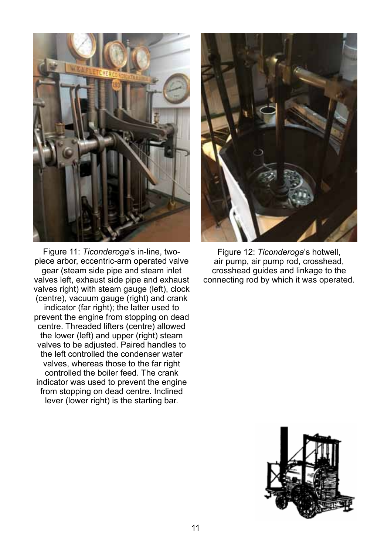

Figure 11: *Ticonderoga*'s in-line, twopiece arbor, eccentric-arm operated valve gear (steam side pipe and steam inlet valves left, exhaust side pipe and exhaust valves right) with steam gauge (left), clock (centre), vacuum gauge (right) and crank indicator (far right); the latter used to prevent the engine from stopping on dead centre. Threaded lifters (centre) allowed the lower (left) and upper (right) steam valves to be adjusted. Paired handles to the left controlled the condenser water valves, whereas those to the far right controlled the boiler feed. The crank indicator was used to prevent the engine from stopping on dead centre. Inclined lever (lower right) is the starting bar.



Figure 12: *Ticonderoga*'s hotwell, air pump, air pump rod, crosshead, crosshead guides and linkage to the connecting rod by which it was operated.

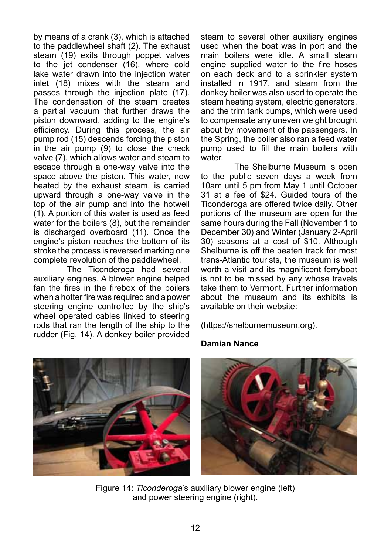by means of a crank (3), which is attached to the paddlewheel shaft (2). The exhaust steam (19) exits through poppet valves to the jet condenser (16), where cold lake water drawn into the injection water inlet (18) mixes with the steam and passes through the injection plate (17). The condensation of the steam creates a partial vacuum that further draws the piston downward, adding to the engine's efficiency. During this process, the air pump rod (15) descends forcing the piston in the air pump (9) to close the check valve (7), which allows water and steam to escape through a one-way valve into the space above the piston. This water, now heated by the exhaust steam, is carried upward through a one-way valve in the top of the air pump and into the hotwell (1). A portion of this water is used as feed water for the boilers (8), but the remainder is discharged overboard (11). Once the engine's piston reaches the bottom of its stroke the process is reversed marking one complete revolution of the paddlewheel.

The Ticonderoga had several auxiliary engines. A blower engine helped fan the fires in the firebox of the boilers when a hotter fire was required and a power steering engine controlled by the ship's wheel operated cables linked to steering rods that ran the length of the ship to the rudder (Fig. 14). A donkey boiler provided steam to several other auxiliary engines used when the boat was in port and the main boilers were idle. A small steam engine supplied water to the fire hoses on each deck and to a sprinkler system installed in 1917, and steam from the donkey boiler was also used to operate the steam heating system, electric generators, and the trim tank pumps, which were used to compensate any uneven weight brought about by movement of the passengers. In the Spring, the boiler also ran a feed water pump used to fill the main boilers with water.

The Shelburne Museum is open to the public seven days a week from 10am until 5 pm from May 1 until October 31 at a fee of \$24. Guided tours of the Ticonderoga are offered twice daily. Other portions of the museum are open for the same hours during the Fall (November 1 to December 30) and Winter (January 2-April 30) seasons at a cost of \$10. Although Shelburne is off the beaten track for most trans-Atlantic tourists, the museum is well worth a visit and its magnificent ferryboat is not to be missed by any whose travels take them to Vermont. Further information about the museum and its exhibits is available on their website:

(https://shelburnemuseum.org).

#### **Damian Nance**





Figure 14: *Ticonderoga*'s auxiliary blower engine (left) and power steering engine (right).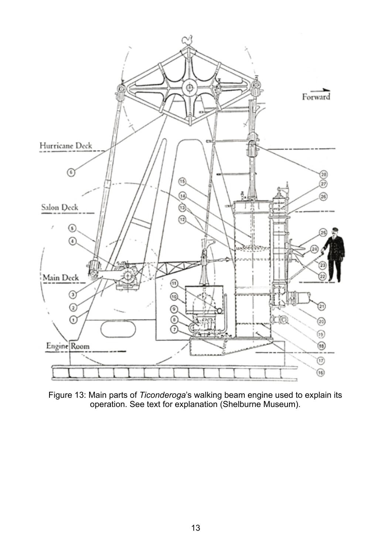

Figure 13: Main parts of *Ticonderoga*'s walking beam engine used to explain its operation. See text for explanation (Shelburne Museum).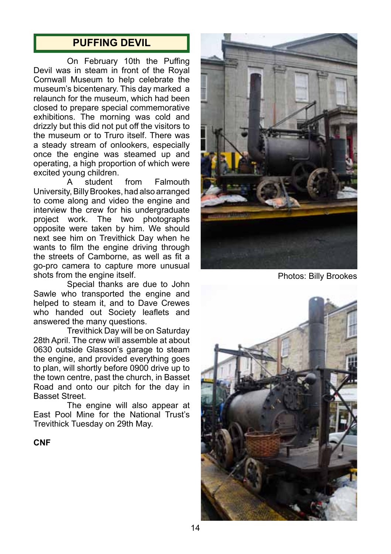## **PUFFING DEVIL**

On February 10th the Puffing Devil was in steam in front of the Royal Cornwall Museum to help celebrate the museum's bicentenary. This day marked a relaunch for the museum, which had been closed to prepare special commemorative exhibitions. The morning was cold and drizzly but this did not put off the visitors to the museum or to Truro itself. There was a steady stream of onlookers, especially once the engine was steamed up and operating, a high proportion of which were excited young children.<br>A student

from Falmouth University, Billy Brookes, had also arranged to come along and video the engine and interview the crew for his undergraduate project work. The two photographs opposite were taken by him. We should next see him on Trevithick Day when he wants to film the engine driving through the streets of Camborne, as well as fit a go-pro camera to capture more unusual shots from the engine itself.

Special thanks are due to John Sawle who transported the engine and helped to steam it, and to Dave Crewes who handed out Society leaflets and answered the many questions.

Trevithick Day will be on Saturday 28th April. The crew will assemble at about 0630 outside Glasson's garage to steam the engine, and provided everything goes to plan, will shortly before 0900 drive up to the town centre, past the church, in Basset Road and onto our pitch for the day in Basset Street.

The engine will also appear at East Pool Mine for the National Trust's Trevithick Tuesday on 29th May.

**CNF**



Photos: Billy Brookes

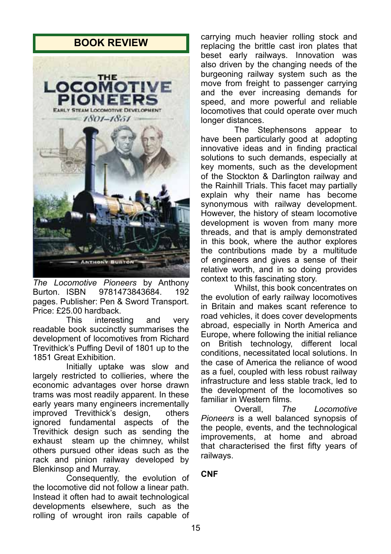

*The Locomotive Pioneers* by Anthony Burton. ISBN 9781473843684. 192 pages. Publisher: Pen & Sword Transport. Price: £25.00 hardback.

This interesting and very readable book succinctly summarises the development of locomotives from Richard Trevithick's Puffing Devil of 1801 up to the 1851 Great Exhibition.

Initially uptake was slow and largely restricted to collieries, where the economic advantages over horse drawn trams was most readily apparent. In these early years many engineers incrementally<br>improved Trevithick's design. others improved Trevithick's design, ignored fundamental aspects of the Trevithick design such as sending the exhaust steam up the chimney, whilst others pursued other ideas such as the rack and pinion railway developed by Blenkinsop and Murray.

Consequently, the evolution of the locomotive did not follow a linear path. Instead it often had to await technological developments elsewhere, such as the rolling of wrought iron rails capable of

**BOOK REVIEW** carrying much heavier rolling stock and replacing the brittle cast iron plates that beset early railways. Innovation was also driven by the changing needs of the burgeoning railway system such as the move from freight to passenger carrying and the ever increasing demands for speed, and more powerful and reliable locomotives that could operate over much longer distances.

> The Stephensons appear to have been particularly good at adopting innovative ideas and in finding practical solutions to such demands, especially at key moments, such as the development of the Stockton & Darlington railway and the Rainhill Trials. This facet may partially explain why their name has become synonymous with railway development. However, the history of steam locomotive development is woven from many more threads, and that is amply demonstrated in this book, where the author explores the contributions made by a multitude of engineers and gives a sense of their relative worth, and in so doing provides context to this fascinating story.

> Whilst, this book concentrates on the evolution of early railway locomotives in Britain and makes scant reference to road vehicles, it does cover developments abroad, especially in North America and Europe, where following the initial reliance on British technology, different local conditions, necessitated local solutions. In the case of America the reliance of wood as a fuel, coupled with less robust railway infrastructure and less stable track, led to the development of the locomotives so familiar in Western films.<br>Overall. The

> Locomotive *Pioneers* is a well balanced synopsis of the people, events, and the technological improvements, at home and abroad that characterised the first fifty years of railways.

#### **CNF**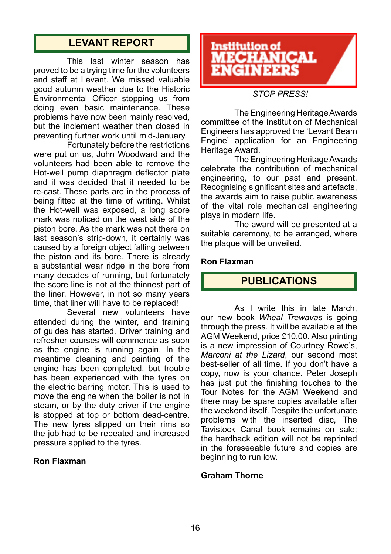# **LEVANT REPORT**

This last winter season has proved to be a trying time for the volunteers and staff at Levant. We missed valuable good autumn weather due to the Historic Environmental Officer stopping us from doing even basic maintenance. These problems have now been mainly resolved, but the inclement weather then closed in preventing further work until mid-January.

Fortunately before the restrictions were put on us, John Woodward and the volunteers had been able to remove the Hot-well pump diaphragm deflector plate and it was decided that it needed to be re-cast. These parts are in the process of being fitted at the time of writing. Whilst the Hot-well was exposed, a long score mark was noticed on the west side of the piston bore. As the mark was not there on last season's strip-down, it certainly was caused by a foreign object falling between the piston and its bore. There is already a substantial wear ridge in the bore from many decades of running, but fortunately the score line is not at the thinnest part of the liner. However, in not so many years time, that liner will have to be replaced!

Several new volunteers have attended during the winter, and training of guides has started. Driver training and refresher courses will commence as soon as the engine is running again. In the meantime cleaning and painting of the engine has been completed, but trouble has been experienced with the tyres on the electric barring motor. This is used to move the engine when the boiler is not in steam, or by the duty driver if the engine is stopped at top or bottom dead-centre. The new tyres slipped on their rims so the iob had to be repeated and increased pressure applied to the tyres.

#### **Ron Flaxman**



#### *STOP PRESS!*

The Engineering Heritage Awards committee of the Institution of Mechanical Engineers has approved the 'Levant Beam Engine' application for an Engineering Heritage Award.

The Engineering Heritage Awards celebrate the contribution of mechanical engineering, to our past and present. Recognising significant sites and artefacts, the awards aim to raise public awareness of the vital role mechanical engineering plays in modern life.

The award will be presented at a suitable ceremony, to be arranged, where the plaque will be unveiled.

#### **Ron Flaxman**

#### **PUBLICATIONS**

As I write this in late March, our new book *Wheal Trewavas* is going through the press. It will be available at the AGM Weekend, price £10.00. Also printing is a new impression of Courtney Rowe's, *Marconi at the Lizard*, our second most best-seller of all time. If you don't have a copy, now is your chance. Peter Joseph has just put the finishing touches to the Tour Notes for the AGM Weekend and there may be spare copies available after the weekend itself. Despite the unfortunate problems with the inserted disc, The Tavistock Canal book remains on sale; the hardback edition will not be reprinted in the foreseeable future and copies are beginning to run low.

#### **Graham Thorne**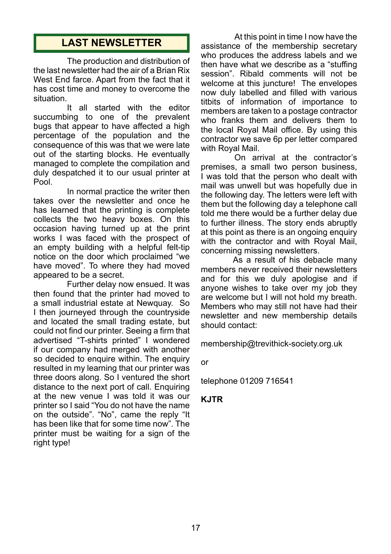## **LAST NEWSLETTER**

The production and distribution of the last newsletter had the air of a Brian Rix West End farce. Apart from the fact that it has cost time and money to overcome the situation.

It all started with the editor succumbing to one of the prevalent bugs that appear to have affected a high percentage of the population and the consequence of this was that we were late out of the starting blocks. He eventually managed to complete the compilation and duly despatched it to our usual printer at Pool.

In normal practice the writer then takes over the newsletter and once he has learned that the printing is complete collects the two heavy boxes. On this occasion having turned up at the print works I was faced with the prospect of an empty building with a helpful felt-tip notice on the door which proclaimed "we have moved". To where they had moved appeared to be a secret.

Further delay now ensued. It was then found that the printer had moved to a small industrial estate at Newquay. So I then journeyed through the countryside and located the small trading estate, but could not find our printer. Seeing a firm that advertised "T-shirts printed" I wondered if our company had merged with another so decided to enquire within. The enquiry resulted in my learning that our printer was three doors along. So I ventured the short distance to the next port of call. Enquiring at the new venue I was told it was our printer so I said "You do not have the name on the outside". "No", came the reply "It has been like that for some time now". The printer must be waiting for a sign of the right type!

At this point in time I now have the assistance of the membership secretary who produces the address labels and we then have what we describe as a "stuffing session". Ribald comments will not be welcome at this juncture! The envelopes now duly labelled and filled with various titbits of information of importance to members are taken to a postage contractor who franks them and delivers them to the local Royal Mail office. By using this contractor we save 6p per letter compared with Royal Mail.

On arrival at the contractor's premises, a small two person business, I was told that the person who dealt with mail was unwell but was hopefully due in the following day. The letters were left with them but the following day a telephone call told me there would be a further delay due to further illness. The story ends abruptly at this point as there is an ongoing enquiry with the contractor and with Royal Mail. concerning missing newsletters.

 As a result of his debacle many members never received their newsletters and for this we duly apologise and if anyone wishes to take over my job they are welcome but I will not hold my breath. Members who may still not have had their newsletter and new membership details should contact:

membership@trevithick-society.org.uk

or

telephone 01209 716541

#### **KJTR**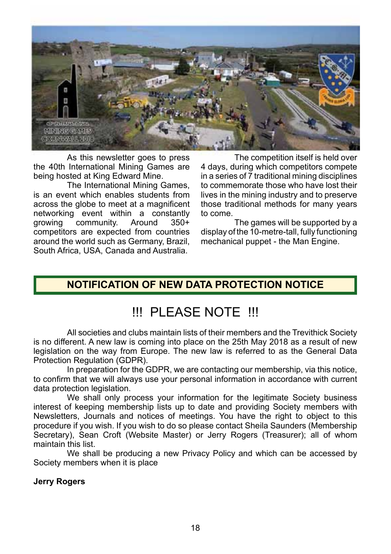

As this newsletter goes to press the 40th International Mining Games are being hosted at King Edward Mine.

The International Mining Games, is an event which enables students from across the globe to meet at a magnificent networking event within a constantly<br>
growing community. Around 350+ community. competitors are expected from countries around the world such as Germany, Brazil, South Africa, USA, Canada and Australia.

The competition itself is held over 4 days, during which competitors compete in a series of 7 traditional mining disciplines to commemorate those who have lost their lives in the mining industry and to preserve those traditional methods for many years to come.

The games will be supported by a display of the 10-metre-tall, fully functioning mechanical puppet - the Man Engine.

# **NOTIFICATION OF NEW DATA PROTECTION NOTICE**

# !!! PLEASE NOTE !!!

All societies and clubs maintain lists of their members and the Trevithick Society is no different. A new law is coming into place on the 25th May 2018 as a result of new legislation on the way from Europe. The new law is referred to as the General Data Protection Regulation (GDPR).

In preparation for the GDPR, we are contacting our membership, via this notice, to confirm that we will always use your personal information in accordance with current data protection legislation.

We shall only process your information for the legitimate Society business interest of keeping membership lists up to date and providing Society members with Newsletters, Journals and notices of meetings. You have the right to object to this procedure if you wish. If you wish to do so please contact Sheila Saunders (Membership Secretary), Sean Croft (Website Master) or Jerry Rogers (Treasurer); all of whom maintain this list.

We shall be producing a new Privacy Policy and which can be accessed by Society members when it is place

#### **Jerry Rogers**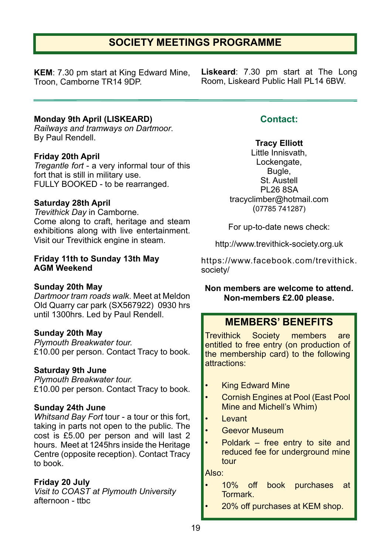# **SOCIETY MEETINGS PROGRAMME**

**KEM**: 7.30 pm start at King Edward Mine, Troon, Camborne TR14 9DP.

**Liskeard**: 7.30 pm start at The Long Room, Liskeard Public Hall PL14 6BW.

#### **Monday 9th April (LISKEARD)**

*Railways and tramways on Dartmoor*. By Paul Rendell.

#### **Friday 20th April**

*Tregantle fort* - a very informal tour of this fort that is still in military use. FULLY BOOKED - to be rearranged.

#### **Saturday 28th April**

*Trevithick Day* in Camborne. Come along to craft, heritage and steam exhibitions along with live entertainment. Visit our Trevithick engine in steam.

#### **Friday 11th to Sunday 13th May AGM Weekend**

#### **Sunday 20th May**

*Dartmoor tram roads walk*. Meet at Meldon Old Quarry car park (SX567922) 0930 hrs until 1300hrs. Led by Paul Rendell.

#### **Sunday 20th May**

*Plymouth Breakwater tour.* £10.00 per person. Contact Tracy to book.

#### **Saturday 9th June**

*Plymouth Breakwater tour.* £10.00 per person. Contact Tracy to book.

#### **Sunday 24th June**

*Whitsand Bay Fort* tour - a tour or this fort, taking in parts not open to the public. The cost is £5.00 per person and will last 2 hours. Meet at 1245hrs inside the Heritage Centre (opposite reception). Contact Tracy to book.

#### **Friday 20 July**

*Visit to COAST at Plymouth University* afternoon - ttbc

#### **Contact:**

#### **Tracy Elliott**

Little Innisvath, Lockengate, Bugle, St. Austell PL26 8SA tracyclimber@hotmail.com (07785 741287)

For up-to-date news check:

http://www.trevithick-society.org.uk

https://www.facebook.com/trevithick. society/

#### **Non members are welcome to attend. Non-members £2.00 please.**

#### **MEMBERS' BENEFITS**

Trevithick Society members are entitled to free entry (on production of the membership card) to the following attractions:

- **King Edward Mine**
- Cornish Engines at Pool (East Pool Mine and Michell's Whim)
- Levant
- Geevor Museum
- Poldark  $-$  free entry to site and reduced fee for underground mine tour

Also:

- 10% off book purchases at Tormark.
	- 20% off purchases at KEM shop.